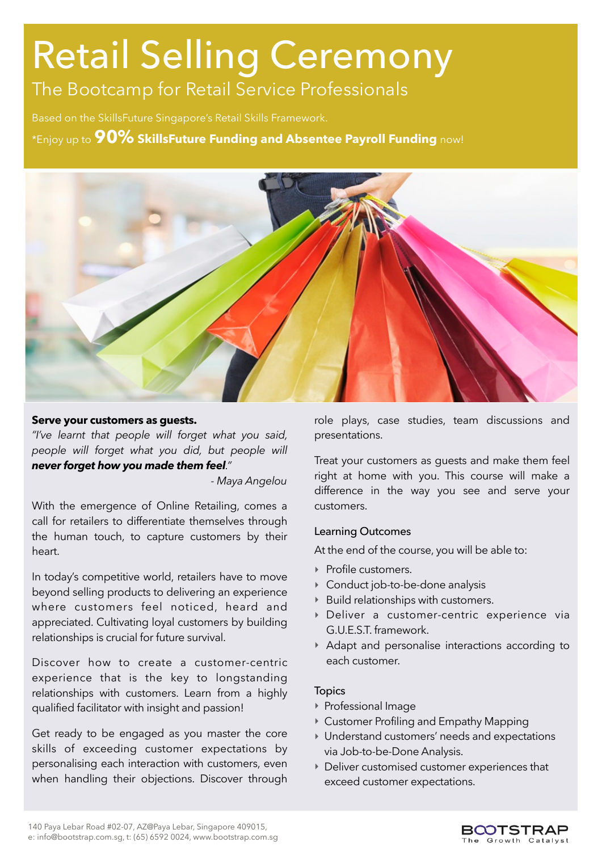# Retail Selling Ceremony

The Bootcamp for Retail Service Professionals

Based on the SkillsFuture Singapore's Retail Skills Framework.

\*Enjoy up to **90% SkillsFuture Funding and Absentee Payroll Funding** now!



#### **Serve your customers as guests.**

*"I've learnt that people will forget what you said, people will forget what you did, but people will never forget how you made them feel."* 

 *- Maya Angelou* 

With the emergence of Online Retailing, comes a call for retailers to differentiate themselves through the human touch, to capture customers by their heart.

In today's competitive world, retailers have to move beyond selling products to delivering an experience where customers feel noticed, heard and appreciated. Cultivating loyal customers by building relationships is crucial for future survival.

Discover how to create a customer-centric experience that is the key to longstanding relationships with customers. Learn from a highly qualified facilitator with insight and passion!

Get ready to be engaged as you master the core skills of exceeding customer expectations by personalising each interaction with customers, even when handling their objections. Discover through role plays, case studies, team discussions and presentations.

Treat your customers as guests and make them feel right at home with you. This course will make a difference in the way you see and serve your customers.

### Learning Outcomes

At the end of the course, you will be able to:

- ‣ Profile customers.
- ‣ Conduct job-to-be-done analysis
- ‣ Build relationships with customers.
- ‣ Deliver a customer-centric experience via G.U.E.S.T. framework.
- ‣ Adapt and personalise interactions according to each customer.

### Topics

- ‣ Professional Image
- ‣ Customer Profiling and Empathy Mapping
- ‣ Understand customers' needs and expectations via Job-to-be-Done Analysis.
- ‣ Deliver customised customer experiences that exceed customer expectations.

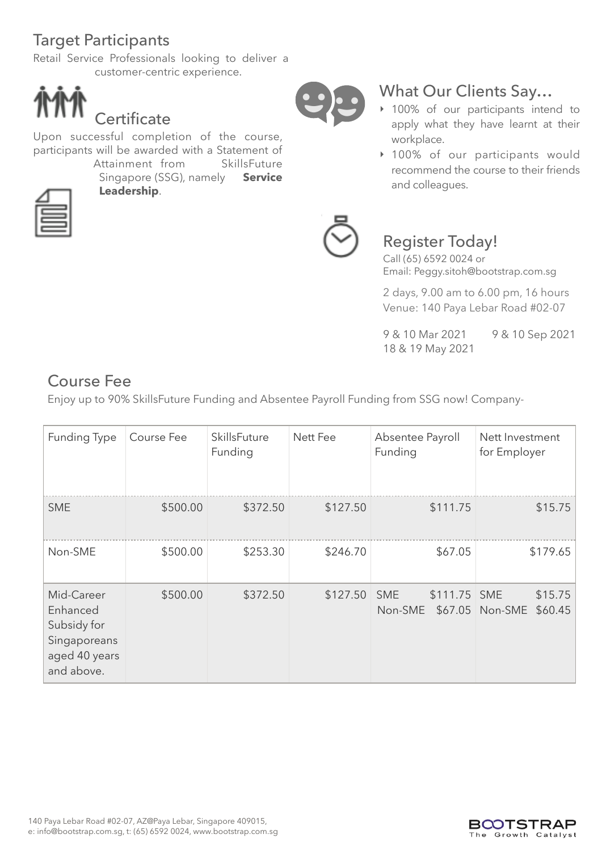# Target Participants

Retail Service Professionals looking to deliver a customer-centric experience.



Upon successful completion of the course, participants will be awarded with a Statement of Attainment from SkillsFuture



Singapore (SSG), namely **Service Leadership**.



## What Our Clients Say…

- ‣ 100% of our participants intend to apply what they have learnt at their workplace.
- ‣ 100% of our participants would recommend the course to their friends and colleagues.



## Register Today!

Call (65) 6592 0024 or Email: Peggy.sitoh@bootstrap.com.sg

2 days, 9.00 am to 6.00 pm, 16 hours Venue: 140 Paya Lebar Road #02-07

9 & 10 Mar 2021 9 & 10 Sep 2021 18 & 19 May 2021

# Course Fee

Enjoy up to 90% SkillsFuture Funding and Absentee Payroll Funding from SSG now! Company-

| Funding Type                                                                         | Course Fee | SkillsFuture<br>Funding | Nett Fee | Absentee Payroll<br>Funding           | Nett Investment<br>for Employer       |
|--------------------------------------------------------------------------------------|------------|-------------------------|----------|---------------------------------------|---------------------------------------|
| <b>SME</b>                                                                           | \$500.00   | \$372.50                | \$127.50 | \$111.75                              | \$15.75                               |
| Non-SME                                                                              | \$500.00   | \$253.30                | \$246.70 | \$67.05                               | \$179.65                              |
| Mid-Career<br>Enhanced<br>Subsidy for<br>Singaporeans<br>aged 40 years<br>and above. | \$500.00   | \$372.50                | \$127.50 | \$111.75 SME<br><b>SME</b><br>Non-SME | \$15.75<br>\$60.45<br>\$67.05 Non-SME |